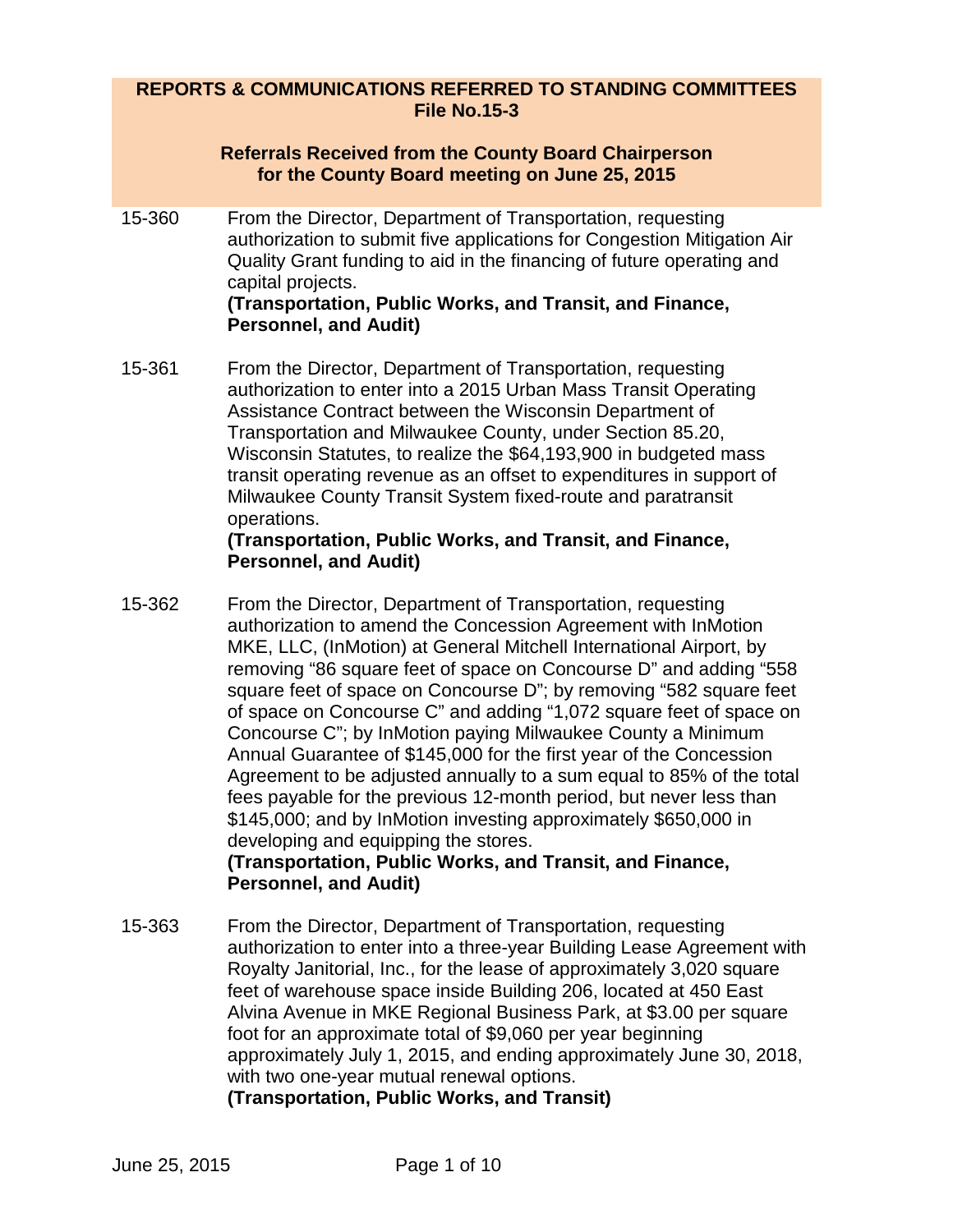## **REPORTS & COMMUNICATIONS REFERRED TO STANDING COMMITTEES File No.15-3**

#### **Referrals Received from the County Board Chairperson for the County Board meeting on June 25, 2015**

15-360 From the Director, Department of Transportation, requesting authorization to submit five applications for Congestion Mitigation Air Quality Grant funding to aid in the financing of future operating and capital projects.

#### **(Transportation, Public Works, and Transit, and Finance, Personnel, and Audit)**

15-361 From the Director, Department of Transportation, requesting authorization to enter into a 2015 Urban Mass Transit Operating Assistance Contract between the Wisconsin Department of Transportation and Milwaukee County, under Section 85.20, Wisconsin Statutes, to realize the \$64,193,900 in budgeted mass transit operating revenue as an offset to expenditures in support of Milwaukee County Transit System fixed-route and paratransit operations.

## **(Transportation, Public Works, and Transit, and Finance, Personnel, and Audit)**

15-362 From the Director, Department of Transportation, requesting authorization to amend the Concession Agreement with InMotion MKE, LLC, (InMotion) at General Mitchell International Airport, by removing "86 square feet of space on Concourse D" and adding "558 square feet of space on Concourse D"; by removing "582 square feet of space on Concourse C" and adding "1,072 square feet of space on Concourse C"; by InMotion paying Milwaukee County a Minimum Annual Guarantee of \$145,000 for the first year of the Concession Agreement to be adjusted annually to a sum equal to 85% of the total fees payable for the previous 12-month period, but never less than \$145,000; and by InMotion investing approximately \$650,000 in developing and equipping the stores. **(Transportation, Public Works, and Transit, and Finance,** 

# **Personnel, and Audit)**

15-363 From the Director, Department of Transportation, requesting authorization to enter into a three-year Building Lease Agreement with Royalty Janitorial, Inc., for the lease of approximately 3,020 square feet of warehouse space inside Building 206, located at 450 East Alvina Avenue in MKE Regional Business Park, at \$3.00 per square foot for an approximate total of \$9,060 per year beginning approximately July 1, 2015, and ending approximately June 30, 2018, with two one-year mutual renewal options.

**(Transportation, Public Works, and Transit)**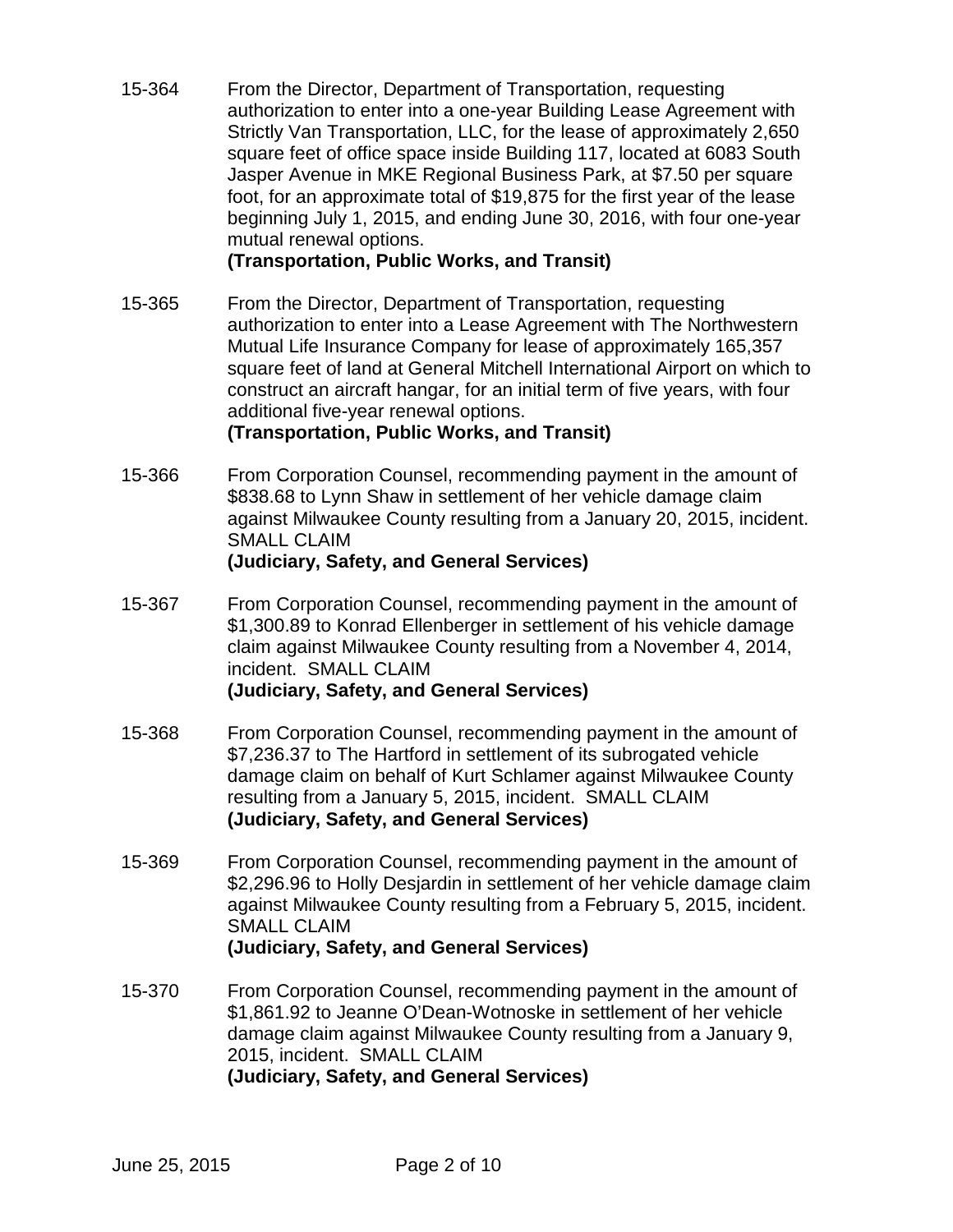15-364 From the Director, Department of Transportation, requesting authorization to enter into a one-year Building Lease Agreement with Strictly Van Transportation, LLC, for the lease of approximately 2,650 square feet of office space inside Building 117, located at 6083 South Jasper Avenue in MKE Regional Business Park, at \$7.50 per square foot, for an approximate total of \$19,875 for the first year of the lease beginning July 1, 2015, and ending June 30, 2016, with four one-year mutual renewal options.

**(Transportation, Public Works, and Transit)**

15-365 From the Director, Department of Transportation, requesting authorization to enter into a Lease Agreement with The Northwestern Mutual Life Insurance Company for lease of approximately 165,357 square feet of land at General Mitchell International Airport on which to construct an aircraft hangar, for an initial term of five years, with four additional five-year renewal options.

## **(Transportation, Public Works, and Transit)**

- 15-366 From Corporation Counsel, recommending payment in the amount of \$838.68 to Lynn Shaw in settlement of her vehicle damage claim against Milwaukee County resulting from a January 20, 2015, incident. SMALL CLAIM **(Judiciary, Safety, and General Services)**
- 15-367 From Corporation Counsel, recommending payment in the amount of \$1,300.89 to Konrad Ellenberger in settlement of his vehicle damage claim against Milwaukee County resulting from a November 4, 2014, incident. SMALL CLAIM **(Judiciary, Safety, and General Services)**
- 15-368 From Corporation Counsel, recommending payment in the amount of \$7,236.37 to The Hartford in settlement of its subrogated vehicle damage claim on behalf of Kurt Schlamer against Milwaukee County resulting from a January 5, 2015, incident. SMALL CLAIM **(Judiciary, Safety, and General Services)**
- 15-369 From Corporation Counsel, recommending payment in the amount of \$2,296.96 to Holly Desjardin in settlement of her vehicle damage claim against Milwaukee County resulting from a February 5, 2015, incident. SMALL CLAIM **(Judiciary, Safety, and General Services)**
- 15-370 From Corporation Counsel, recommending payment in the amount of \$1,861.92 to Jeanne O'Dean-Wotnoske in settlement of her vehicle damage claim against Milwaukee County resulting from a January 9, 2015, incident. SMALL CLAIM **(Judiciary, Safety, and General Services)**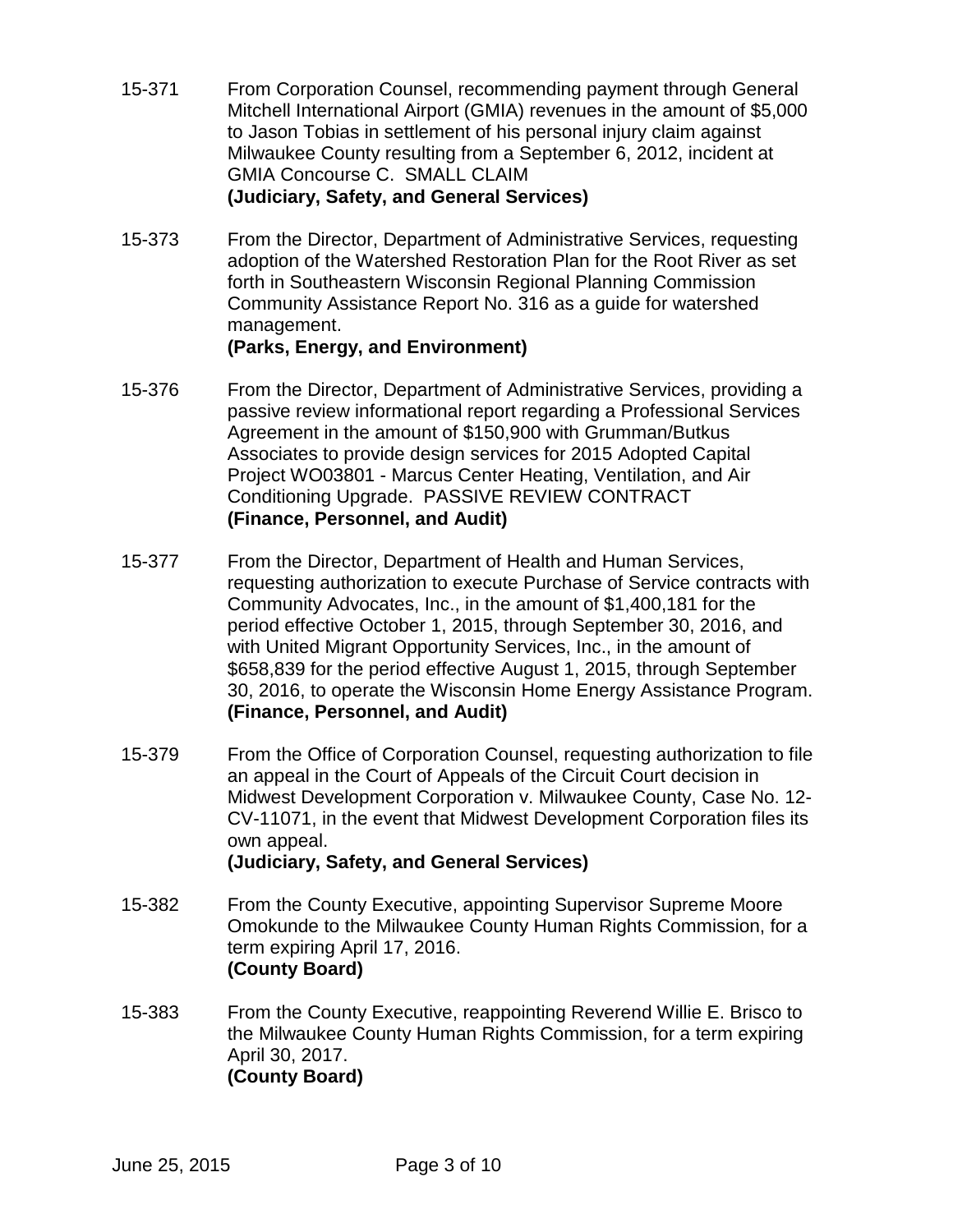- 15-371 From Corporation Counsel, recommending payment through General Mitchell International Airport (GMIA) revenues in the amount of \$5,000 to Jason Tobias in settlement of his personal injury claim against Milwaukee County resulting from a September 6, 2012, incident at GMIA Concourse C. SMALL CLAIM **(Judiciary, Safety, and General Services)**
- 15-373 From the Director, Department of Administrative Services, requesting adoption of the Watershed Restoration Plan for the Root River as set forth in Southeastern Wisconsin Regional Planning Commission Community Assistance Report No. 316 as a guide for watershed management.

## **(Parks, Energy, and Environment)**

- 15-376 From the Director, Department of Administrative Services, providing a passive review informational report regarding a Professional Services Agreement in the amount of \$150,900 with Grumman/Butkus Associates to provide design services for 2015 Adopted Capital Project WO03801 - Marcus Center Heating, Ventilation, and Air Conditioning Upgrade. PASSIVE REVIEW CONTRACT **(Finance, Personnel, and Audit)**
- 15-377 From the Director, Department of Health and Human Services, requesting authorization to execute Purchase of Service contracts with Community Advocates, Inc., in the amount of \$1,400,181 for the period effective October 1, 2015, through September 30, 2016, and with United Migrant Opportunity Services, Inc., in the amount of \$658,839 for the period effective August 1, 2015, through September 30, 2016, to operate the Wisconsin Home Energy Assistance Program. **(Finance, Personnel, and Audit)**
- 15-379 From the Office of Corporation Counsel, requesting authorization to file an appeal in the Court of Appeals of the Circuit Court decision in Midwest Development Corporation v. Milwaukee County, Case No. 12- CV-11071, in the event that Midwest Development Corporation files its own appeal. **(Judiciary, Safety, and General Services)**
- 15-382 From the County Executive, appointing Supervisor Supreme Moore Omokunde to the Milwaukee County Human Rights Commission, for a term expiring April 17, 2016. **(County Board)**
- 15-383 From the County Executive, reappointing Reverend Willie E. Brisco to the Milwaukee County Human Rights Commission, for a term expiring April 30, 2017. **(County Board)**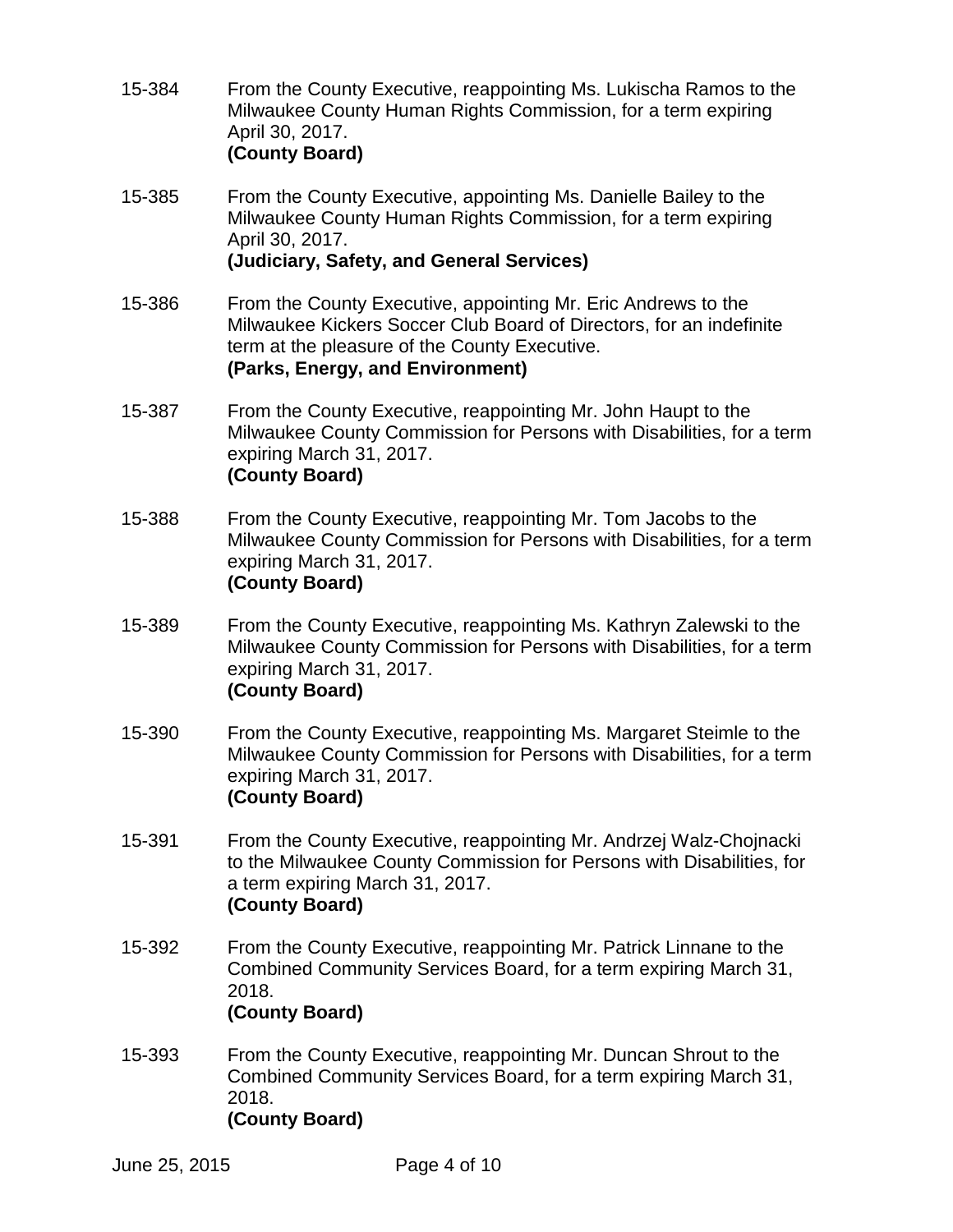- 15-384 From the County Executive, reappointing Ms. Lukischa Ramos to the Milwaukee County Human Rights Commission, for a term expiring April 30, 2017. **(County Board)**
- 15-385 From the County Executive, appointing Ms. Danielle Bailey to the Milwaukee County Human Rights Commission, for a term expiring April 30, 2017. **(Judiciary, Safety, and General Services)**
- 15-386 From the County Executive, appointing Mr. Eric Andrews to the Milwaukee Kickers Soccer Club Board of Directors, for an indefinite term at the pleasure of the County Executive. **(Parks, Energy, and Environment)**
- 15-387 From the County Executive, reappointing Mr. John Haupt to the Milwaukee County Commission for Persons with Disabilities, for a term expiring March 31, 2017. **(County Board)**
- 15-388 From the County Executive, reappointing Mr. Tom Jacobs to the Milwaukee County Commission for Persons with Disabilities, for a term expiring March 31, 2017. **(County Board)**
- 15-389 From the County Executive, reappointing Ms. Kathryn Zalewski to the Milwaukee County Commission for Persons with Disabilities, for a term expiring March 31, 2017. **(County Board)**
- 15-390 From the County Executive, reappointing Ms. Margaret Steimle to the Milwaukee County Commission for Persons with Disabilities, for a term expiring March 31, 2017. **(County Board)**
- 15-391 From the County Executive, reappointing Mr. Andrzej Walz-Chojnacki to the Milwaukee County Commission for Persons with Disabilities, for a term expiring March 31, 2017. **(County Board)**
- 15-392 From the County Executive, reappointing Mr. Patrick Linnane to the Combined Community Services Board, for a term expiring March 31, 2018.

**(County Board)**

15-393 From the County Executive, reappointing Mr. Duncan Shrout to the Combined Community Services Board, for a term expiring March 31, 2018. **(County Board)**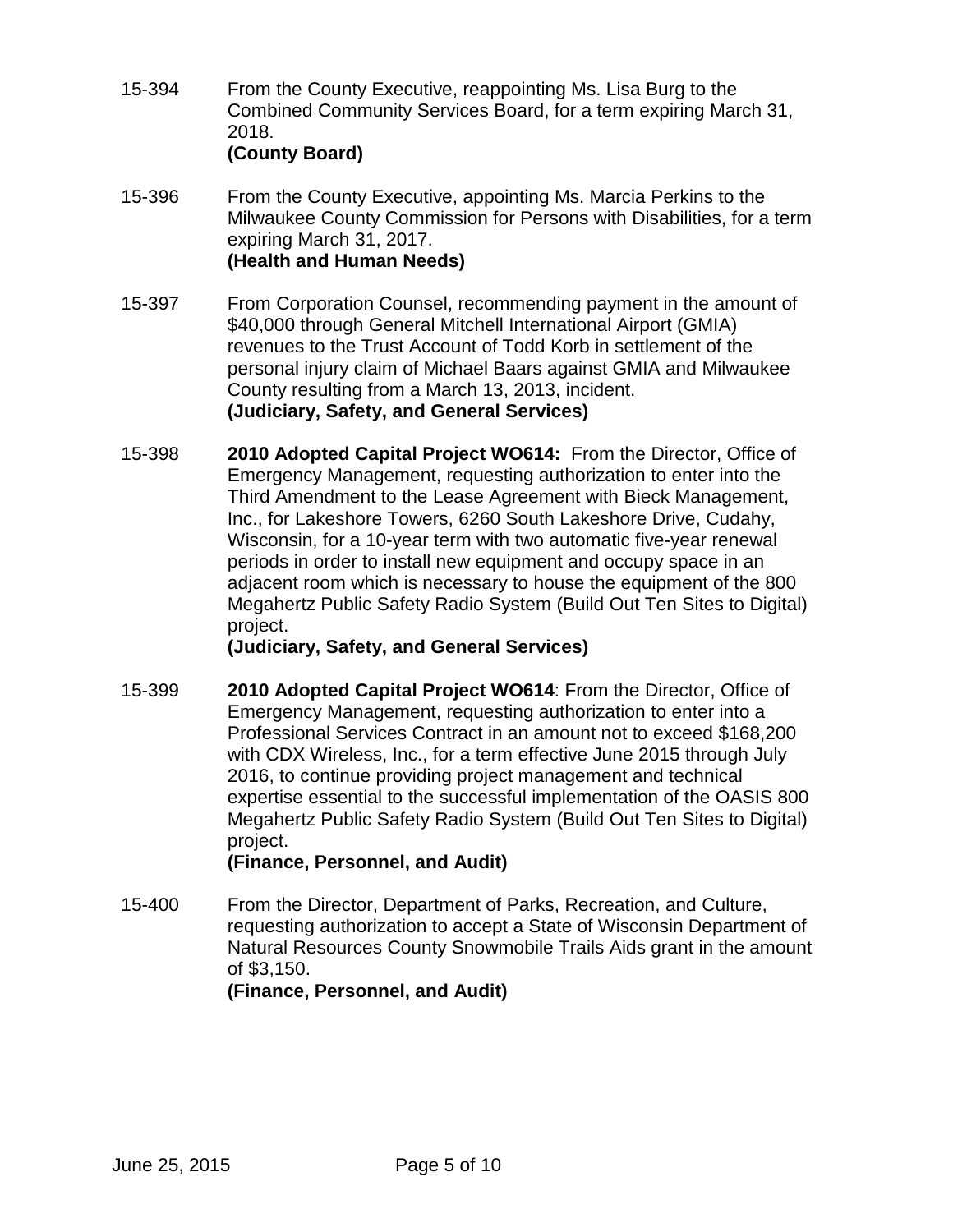- 15-394 From the County Executive, reappointing Ms. Lisa Burg to the Combined Community Services Board, for a term expiring March 31, 2018. **(County Board)**
- 15-396 From the County Executive, appointing Ms. Marcia Perkins to the Milwaukee County Commission for Persons with Disabilities, for a term expiring March 31, 2017. **(Health and Human Needs)**
- 15-397 From Corporation Counsel, recommending payment in the amount of \$40,000 through General Mitchell International Airport (GMIA) revenues to the Trust Account of Todd Korb in settlement of the personal injury claim of Michael Baars against GMIA and Milwaukee County resulting from a March 13, 2013, incident. **(Judiciary, Safety, and General Services)**
- 15-398 **2010 Adopted Capital Project WO614:** From the Director, Office of Emergency Management, requesting authorization to enter into the Third Amendment to the Lease Agreement with Bieck Management, Inc., for Lakeshore Towers, 6260 South Lakeshore Drive, Cudahy, Wisconsin, for a 10-year term with two automatic five-year renewal periods in order to install new equipment and occupy space in an adjacent room which is necessary to house the equipment of the 800 Megahertz Public Safety Radio System (Build Out Ten Sites to Digital) project.

**(Judiciary, Safety, and General Services)**

15-399 **2010 Adopted Capital Project WO614**: From the Director, Office of Emergency Management, requesting authorization to enter into a Professional Services Contract in an amount not to exceed \$168,200 with CDX Wireless, Inc., for a term effective June 2015 through July 2016, to continue providing project management and technical expertise essential to the successful implementation of the OASIS 800 Megahertz Public Safety Radio System (Build Out Ten Sites to Digital) project.

**(Finance, Personnel, and Audit)**

15-400 From the Director, Department of Parks, Recreation, and Culture, requesting authorization to accept a State of Wisconsin Department of Natural Resources County Snowmobile Trails Aids grant in the amount of \$3,150.

**(Finance, Personnel, and Audit)**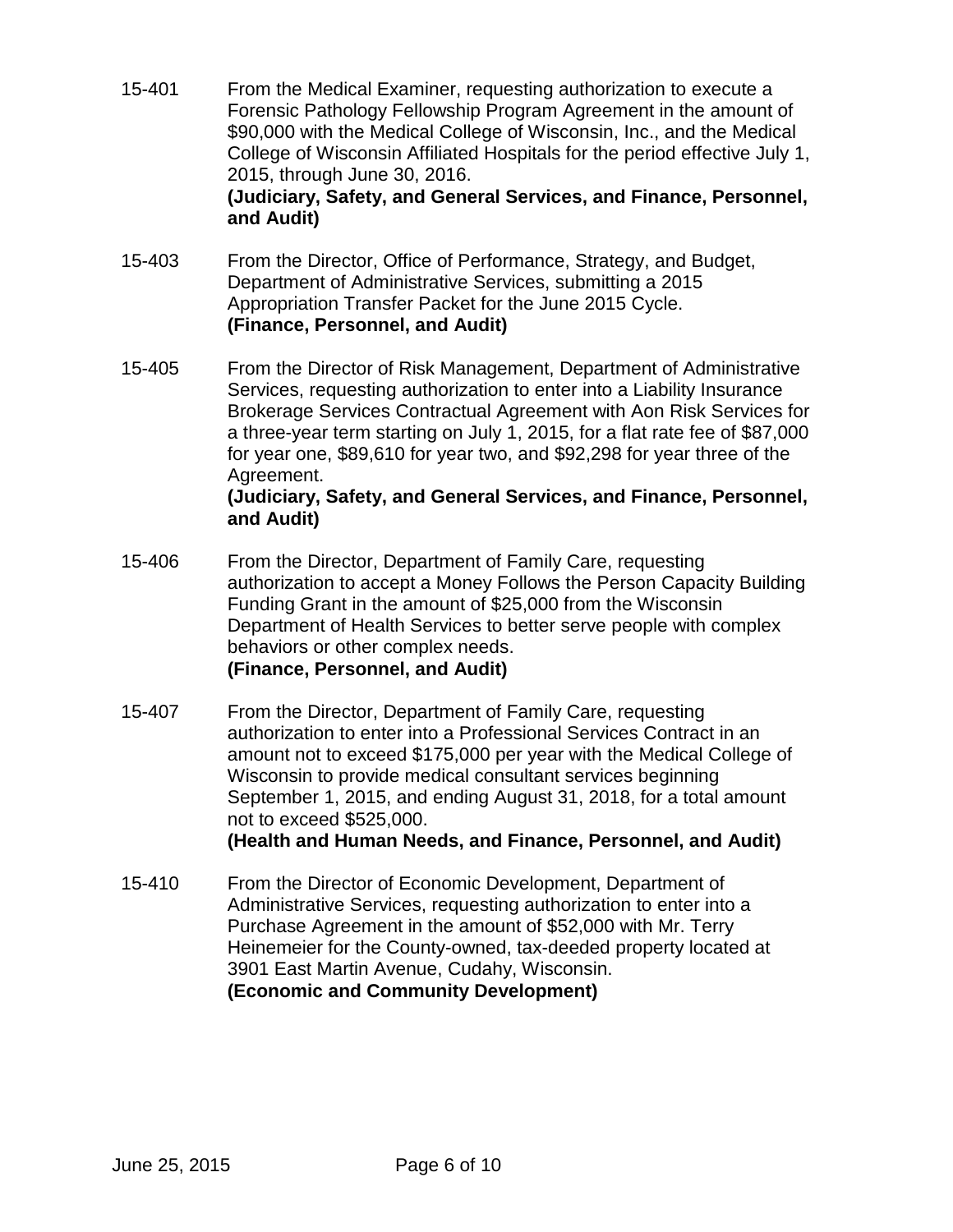15-401 From the Medical Examiner, requesting authorization to execute a Forensic Pathology Fellowship Program Agreement in the amount of \$90,000 with the Medical College of Wisconsin, Inc., and the Medical College of Wisconsin Affiliated Hospitals for the period effective July 1, 2015, through June 30, 2016.

## **(Judiciary, Safety, and General Services, and Finance, Personnel, and Audit)**

- 15-403 From the Director, Office of Performance, Strategy, and Budget, Department of Administrative Services, submitting a 2015 Appropriation Transfer Packet for the June 2015 Cycle. **(Finance, Personnel, and Audit)**
- 15-405 From the Director of Risk Management, Department of Administrative Services, requesting authorization to enter into a Liability Insurance Brokerage Services Contractual Agreement with Aon Risk Services for a three-year term starting on July 1, 2015, for a flat rate fee of \$87,000 for year one, \$89,610 for year two, and \$92,298 for year three of the Agreement.

## **(Judiciary, Safety, and General Services, and Finance, Personnel, and Audit)**

- 15-406 From the Director, Department of Family Care, requesting authorization to accept a Money Follows the Person Capacity Building Funding Grant in the amount of \$25,000 from the Wisconsin Department of Health Services to better serve people with complex behaviors or other complex needs. **(Finance, Personnel, and Audit)**
- 15-407 From the Director, Department of Family Care, requesting authorization to enter into a Professional Services Contract in an amount not to exceed \$175,000 per year with the Medical College of Wisconsin to provide medical consultant services beginning September 1, 2015, and ending August 31, 2018, for a total amount not to exceed \$525,000.

**(Health and Human Needs, and Finance, Personnel, and Audit)**

15-410 From the Director of Economic Development, Department of Administrative Services, requesting authorization to enter into a Purchase Agreement in the amount of \$52,000 with Mr. Terry Heinemeier for the County-owned, tax-deeded property located at 3901 East Martin Avenue, Cudahy, Wisconsin. **(Economic and Community Development)**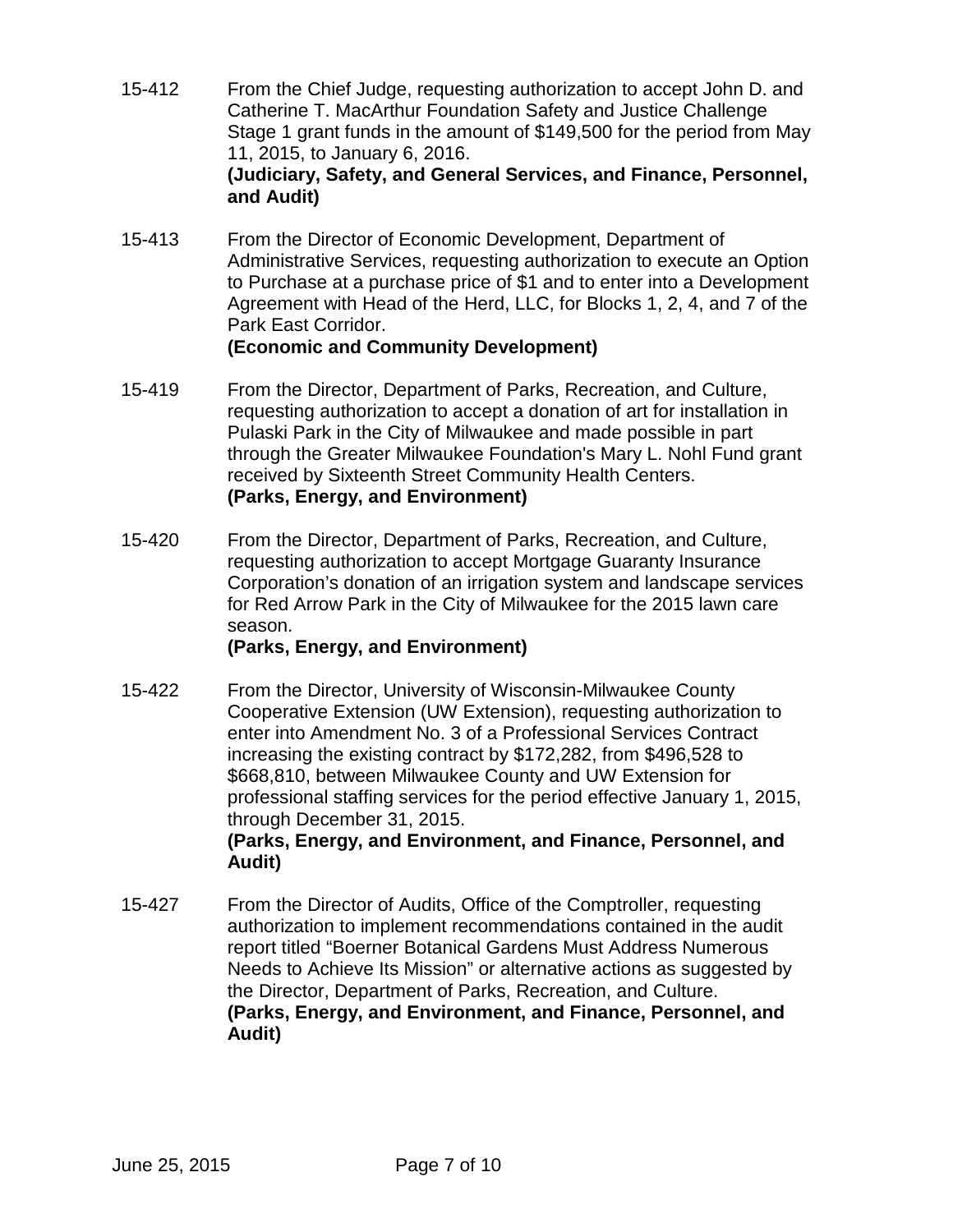- 15-412 From the Chief Judge, requesting authorization to accept John D. and Catherine T. MacArthur Foundation Safety and Justice Challenge Stage 1 grant funds in the amount of \$149,500 for the period from May 11, 2015, to January 6, 2016. **(Judiciary, Safety, and General Services, and Finance, Personnel, and Audit)**
- 15-413 From the Director of Economic Development, Department of Administrative Services, requesting authorization to execute an Option to Purchase at a purchase price of \$1 and to enter into a Development Agreement with Head of the Herd, LLC, for Blocks 1, 2, 4, and 7 of the Park East Corridor.

#### **(Economic and Community Development)**

- 15-419 From the Director, Department of Parks, Recreation, and Culture, requesting authorization to accept a donation of art for installation in Pulaski Park in the City of Milwaukee and made possible in part through the Greater Milwaukee Foundation's Mary L. Nohl Fund grant received by Sixteenth Street Community Health Centers. **(Parks, Energy, and Environment)**
- 15-420 From the Director, Department of Parks, Recreation, and Culture, requesting authorization to accept Mortgage Guaranty Insurance Corporation's donation of an irrigation system and landscape services for Red Arrow Park in the City of Milwaukee for the 2015 lawn care season.

## **(Parks, Energy, and Environment)**

15-422 From the Director, University of Wisconsin-Milwaukee County Cooperative Extension (UW Extension), requesting authorization to enter into Amendment No. 3 of a Professional Services Contract increasing the existing contract by \$172,282, from \$496,528 to \$668,810, between Milwaukee County and UW Extension for professional staffing services for the period effective January 1, 2015, through December 31, 2015.

## **(Parks, Energy, and Environment, and Finance, Personnel, and Audit)**

15-427 From the Director of Audits, Office of the Comptroller, requesting authorization to implement recommendations contained in the audit report titled "Boerner Botanical Gardens Must Address Numerous Needs to Achieve Its Mission" or alternative actions as suggested by the Director, Department of Parks, Recreation, and Culture. **(Parks, Energy, and Environment, and Finance, Personnel, and Audit)**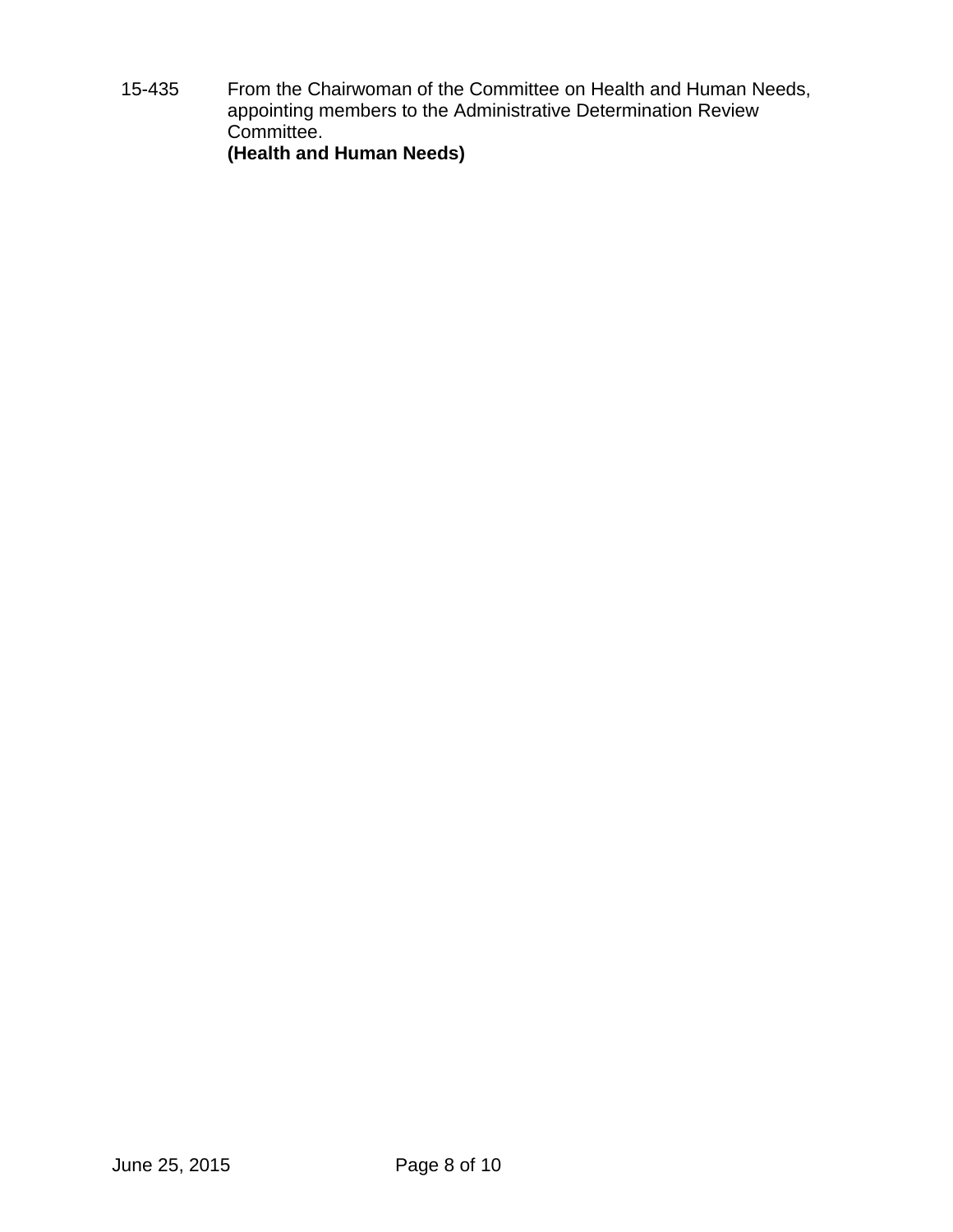15-435 From the Chairwoman of the Committee on Health and Human Needs, appointing members to the Administrative Determination Review Committee. **(Health and Human Needs)**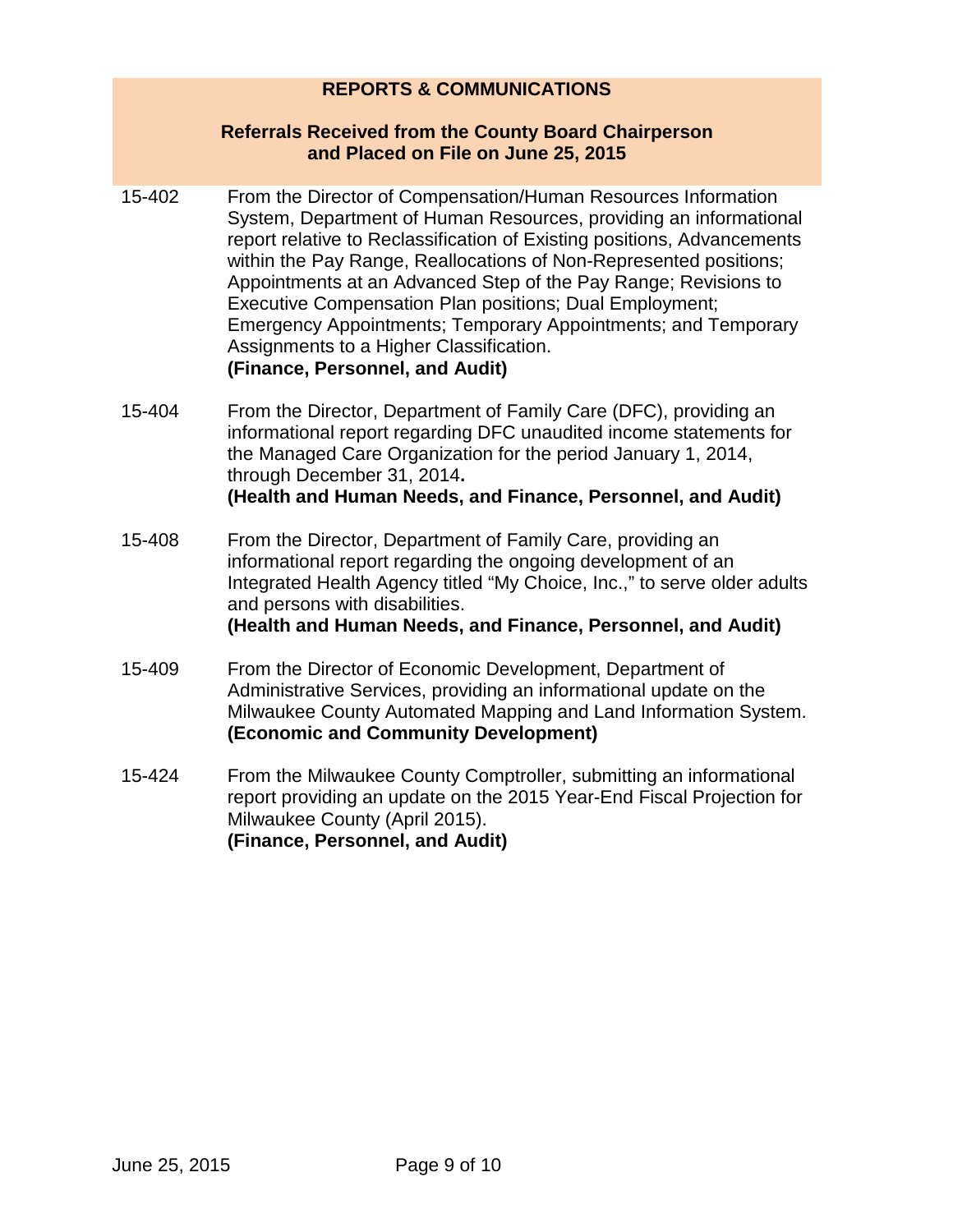## **REPORTS & COMMUNICATIONS**

#### **Referrals Received from the County Board Chairperson and Placed on File on June 25, 2015**

- 15-402 From the Director of Compensation/Human Resources Information System, Department of Human Resources, providing an informational report relative to Reclassification of Existing positions, Advancements within the Pay Range, Reallocations of Non-Represented positions; Appointments at an Advanced Step of the Pay Range; Revisions to Executive Compensation Plan positions; Dual Employment; Emergency Appointments; Temporary Appointments; and Temporary Assignments to a Higher Classification. **(Finance, Personnel, and Audit)**
- 15-404 From the Director, Department of Family Care (DFC), providing an informational report regarding DFC unaudited income statements for the Managed Care Organization for the period January 1, 2014, through December 31, 2014**. (Health and Human Needs, and Finance, Personnel, and Audit)**
- 15-408 From the Director, Department of Family Care, providing an informational report regarding the ongoing development of an Integrated Health Agency titled "My Choice, Inc.," to serve older adults and persons with disabilities. **(Health and Human Needs, and Finance, Personnel, and Audit)**
- 15-409 From the Director of Economic Development, Department of Administrative Services, providing an informational update on the Milwaukee County Automated Mapping and Land Information System. **(Economic and Community Development)**
- 15-424 From the Milwaukee County Comptroller, submitting an informational report providing an update on the 2015 Year-End Fiscal Projection for Milwaukee County (April 2015). **(Finance, Personnel, and Audit)**